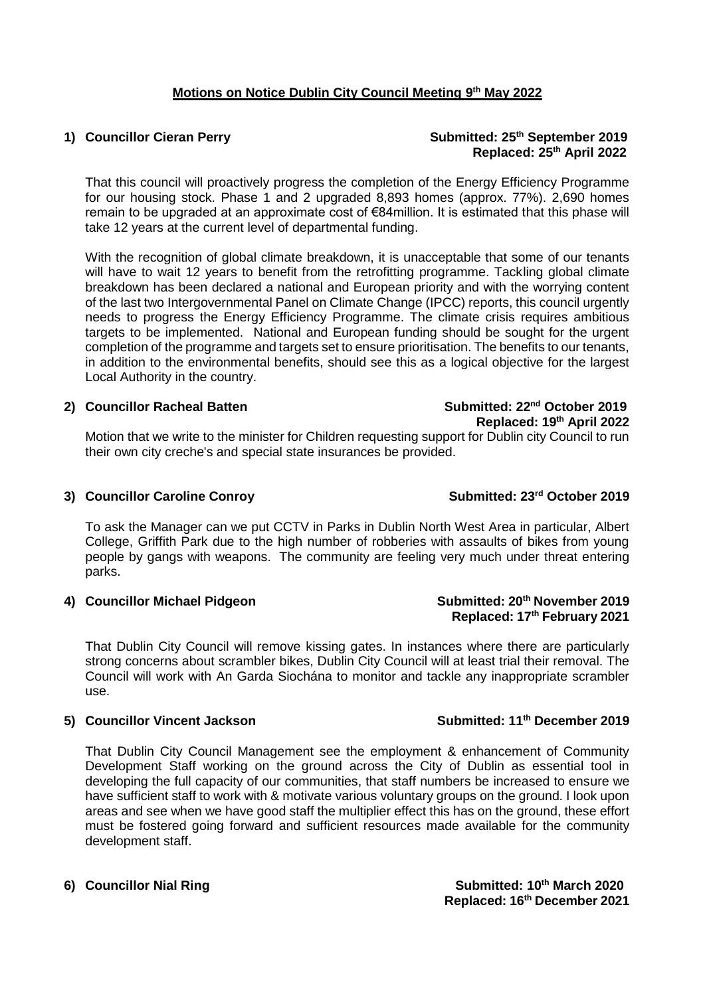### **Motions on Notice Dublin City Council Meeting 9 th May 2022**

1) **Councillor Cieran Perry Submitted: 25<sup>th</sup> September 2019 Replaced: 25th April 2022**

That this council will proactively progress the completion of the Energy Efficiency Programme for our housing stock. Phase 1 and 2 upgraded 8,893 homes (approx. 77%). 2,690 homes remain to be upgraded at an approximate cost of  $€84$ million. It is estimated that this phase will take 12 years at the current level of departmental funding.

With the recognition of global climate breakdown, it is unacceptable that some of our tenants will have to wait 12 years to benefit from the retrofitting programme. Tackling global climate breakdown has been declared a national and European priority and with the worrying content of the last two Intergovernmental Panel on Climate Change (IPCC) reports, this council urgently needs to progress the Energy Efficiency Programme. The climate crisis requires ambitious targets to be implemented. National and European funding should be sought for the urgent completion of the programme and targets set to ensure prioritisation. The benefits to our tenants, in addition to the environmental benefits, should see this as a logical objective for the largest Local Authority in the country.

#### 2) **Councillor Racheal Batten Submitted: 22<sup>nd</sup> October 2019**

# **Replaced: 19th April 2022**

Motion that we write to the minister for Children requesting support for Dublin city Council to run their own city creche's and special state insurances be provided.

#### **3) Councillor Caroline Conroy Submitted: 23rd October 2019**

To ask the Manager can we put CCTV in Parks in Dublin North West Area in particular, Albert College, Griffith Park due to the high number of robberies with assaults of bikes from young people by gangs with weapons. The community are feeling very much under threat entering parks.

#### **4) Councillor Michael Pidgeon Submitted: 20th November 2019**

That Dublin City Council will remove kissing gates. In instances where there are particularly strong concerns about scrambler bikes, Dublin City Council will at least trial their removal. The Council will work with An Garda Siochána to monitor and tackle any inappropriate scrambler use.

#### **5) Councillor Vincent Jackson Submitted: 11th December 2019**

That Dublin City Council Management see the employment & enhancement of Community Development Staff working on the ground across the City of Dublin as essential tool in developing the full capacity of our communities, that staff numbers be increased to ensure we have sufficient staff to work with & motivate various voluntary groups on the ground. I look upon areas and see when we have good staff the multiplier effect this has on the ground, these effort must be fostered going forward and sufficient resources made available for the community development staff.

### **6)** Councillor Nial Ring Submitted: 10<sup>th</sup> March 2020  **Replaced: 16th December 2021**

# **Replaced: 17th February 2021**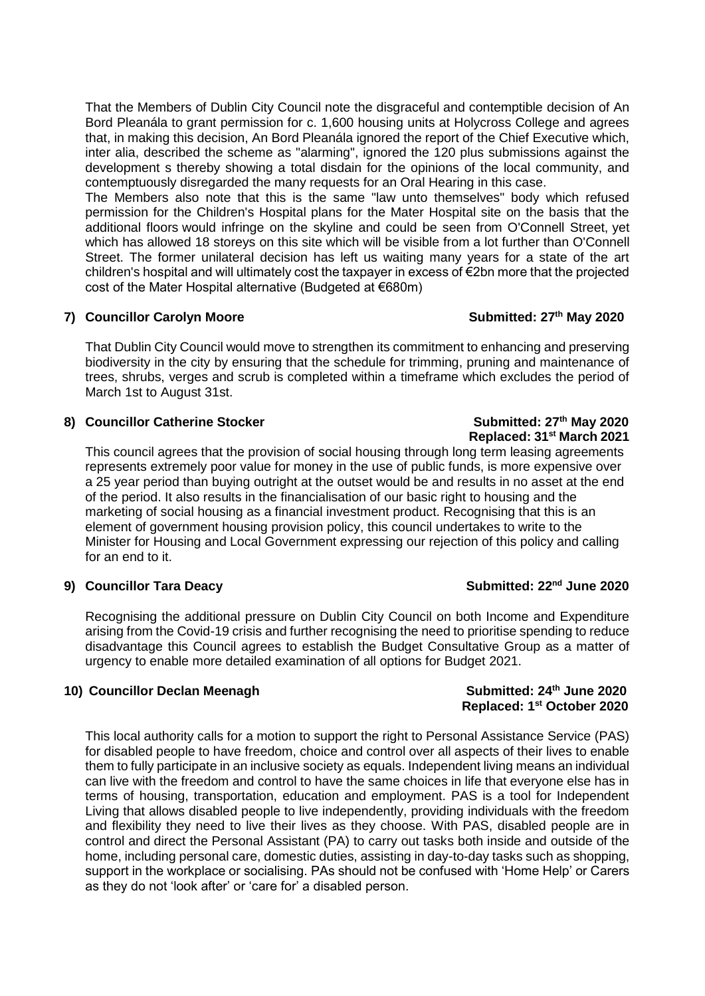That the Members of Dublin City Council note the disgraceful and contemptible decision of An Bord Pleanála to grant permission for c. 1,600 housing units at Holycross College and agrees that, in making this decision, An Bord Pleanála ignored the report of the Chief Executive which, inter alia, described the scheme as "alarming", ignored the 120 plus submissions against the development s thereby showing a total disdain for the opinions of the local community, and contemptuously disregarded the many requests for an Oral Hearing in this case.

The Members also note that this is the same "law unto themselves" body which refused permission for the Children's Hospital plans for the Mater Hospital site on the basis that the additional floors would infringe on the skyline and could be seen from O'Connell Street, yet which has allowed 18 storeys on this site which will be visible from a lot further than O'Connell Street. The former unilateral decision has left us waiting many years for a state of the art children's hospital and will ultimately cost the taxpayer in excess of €2bn more that the projected cost of the Mater Hospital alternative (Budgeted at €680m)

### **7) Councillor Carolyn Moore Submitted: 27th May 2020**

That Dublin City Council would move to strengthen its commitment to enhancing and preserving biodiversity in the city by ensuring that the schedule for trimming, pruning and maintenance of trees, shrubs, verges and scrub is completed within a timeframe which excludes the period of March 1st to August 31st.

### 8) **Councillor Catherine Stocker** Submitted: 27<sup>th</sup> May 2020

**Replaced: 31st March 2021** This council agrees that the provision of social housing through long term leasing agreements represents extremely poor value for money in the use of public funds, is more expensive over a 25 year period than buying outright at the outset would be and results in no asset at the end of the period. It also results in the financialisation of our basic right to housing and the marketing of social housing as a financial investment product. Recognising that this is an element of government housing provision policy, this council undertakes to write to the Minister for Housing and Local Government expressing our rejection of this policy and calling for an end to it.

### **9)** Councillor Tara Deacy Submitted:  $22^{nd}$  June 2020

Recognising the additional pressure on Dublin City Council on both Income and Expenditure arising from the Covid-19 crisis and further recognising the need to prioritise spending to reduce disadvantage this Council agrees to establish the Budget Consultative Group as a matter of urgency to enable more detailed examination of all options for Budget 2021.

### 10) **Councillor Declan Meenagh Submitted: 24<sup>th</sup> June 2020**

This local authority calls for a motion to support the right to Personal Assistance Service (PAS) for disabled people to have freedom, choice and control over all aspects of their lives to enable them to fully participate in an inclusive society as equals. Independent living means an individual can live with the freedom and control to have the same choices in life that everyone else has in terms of housing, transportation, education and employment. PAS is a tool for Independent Living that allows disabled people to live independently, providing individuals with the freedom and flexibility they need to live their lives as they choose. With PAS, disabled people are in control and direct the Personal Assistant (PA) to carry out tasks both inside and outside of the home, including personal care, domestic duties, assisting in day-to-day tasks such as shopping, support in the workplace or socialising. PAs should not be confused with 'Home Help' or Carers as they do not 'look after' or 'care for' a disabled person.

# **Replaced: 1st October 2020**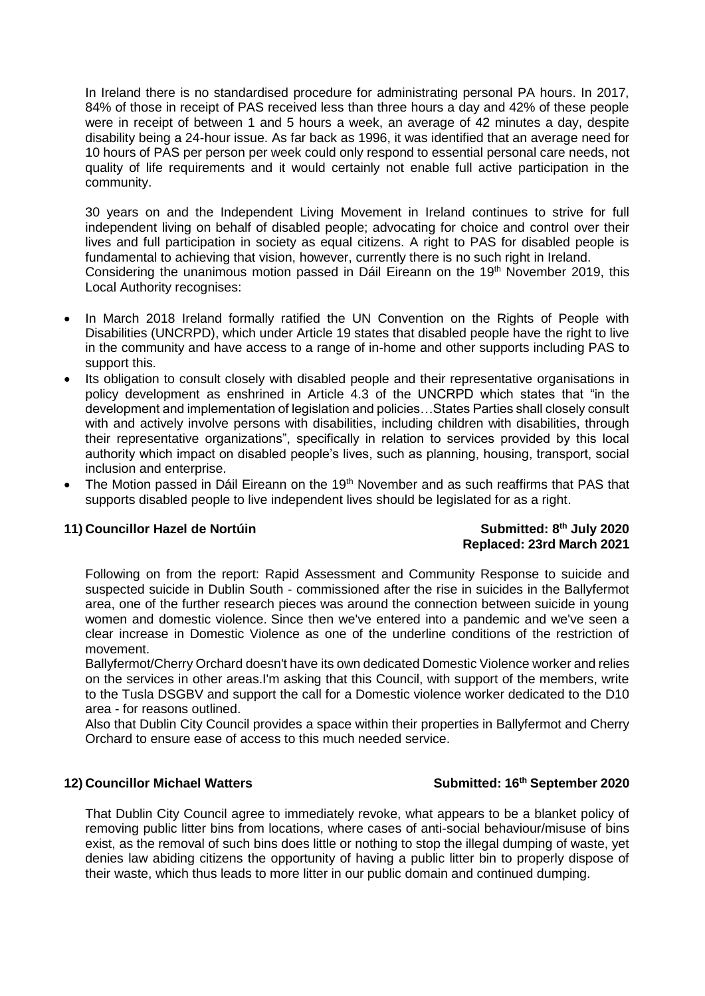In Ireland there is no standardised procedure for administrating personal PA hours. In 2017, 84% of those in receipt of PAS received less than three hours a day and 42% of these people were in receipt of between 1 and 5 hours a week, an average of 42 minutes a day, despite disability being a 24-hour issue. As far back as 1996, it was identified that an average need for 10 hours of PAS per person per week could only respond to essential personal care needs, not quality of life requirements and it would certainly not enable full active participation in the community.

30 years on and the Independent Living Movement in Ireland continues to strive for full independent living on behalf of disabled people; advocating for choice and control over their lives and full participation in society as equal citizens. A right to PAS for disabled people is fundamental to achieving that vision, however, currently there is no such right in Ireland. Considering the unanimous motion passed in Dáil Eireann on the 19<sup>th</sup> November 2019, this Local Authority recognises:

- In March 2018 Ireland formally ratified the UN Convention on the Rights of People with Disabilities (UNCRPD), which under Article 19 states that disabled people have the right to live in the community and have access to a range of in-home and other supports including PAS to support this.
- Its obligation to consult closely with disabled people and their representative organisations in policy development as enshrined in Article 4.3 of the UNCRPD which states that "in the development and implementation of legislation and policies…States Parties shall closely consult with and actively involve persons with disabilities, including children with disabilities, through their representative organizations", specifically in relation to services provided by this local authority which impact on disabled people's lives, such as planning, housing, transport, social inclusion and enterprise.
- The Motion passed in Dáil Eireann on the 19<sup>th</sup> November and as such reaffirms that PAS that supports disabled people to live independent lives should be legislated for as a right.

### **11)** Councillor Hazel de Nortúin **Submitted: 8<sup>th</sup> July 2020**

## **Replaced: 23rd March 2021**

Following on from the report: Rapid Assessment and Community Response to suicide and suspected suicide in Dublin South - commissioned after the rise in suicides in the Ballyfermot area, one of the further research pieces was around the connection between suicide in young women and domestic violence. Since then we've entered into a pandemic and we've seen a clear increase in Domestic Violence as one of the underline conditions of the restriction of movement.

Ballyfermot/Cherry Orchard doesn't have its own dedicated Domestic Violence worker and relies on the services in other areas.I'm asking that this Council, with support of the members, write to the Tusla DSGBV and support the call for a Domestic violence worker dedicated to the D10 area - for reasons outlined.

Also that Dublin City Council provides a space within their properties in Ballyfermot and Cherry Orchard to ensure ease of access to this much needed service.

### 12) **Councillor Michael Watters** Submitted: 16<sup>th</sup> September 2020

That Dublin City Council agree to immediately revoke, what appears to be a blanket policy of removing public litter bins from locations, where cases of anti-social behaviour/misuse of bins exist, as the removal of such bins does little or nothing to stop the illegal dumping of waste, yet denies law abiding citizens the opportunity of having a public litter bin to properly dispose of their waste, which thus leads to more litter in our public domain and continued dumping.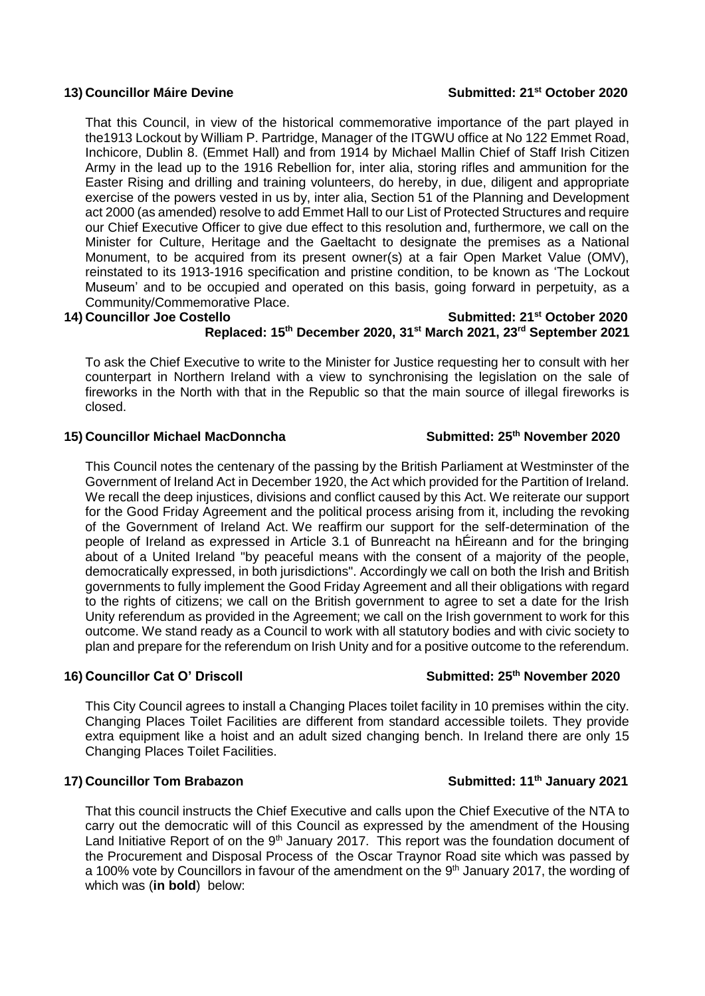#### **13)** Councillor Máire Devine Submitted: 21<sup>st</sup> October 2020

That this Council, in view of the historical commemorative importance of the part played in the1913 Lockout by William P. Partridge, Manager of the ITGWU office at No 122 Emmet Road, Inchicore, Dublin 8. (Emmet Hall) and from 1914 by Michael Mallin Chief of Staff Irish Citizen Army in the lead up to the 1916 Rebellion for, inter alia, storing rifles and ammunition for the Easter Rising and drilling and training volunteers, do hereby, in due, diligent and appropriate exercise of the powers vested in us by, inter alia, Section 51 of the Planning and Development act 2000 (as amended) resolve to add Emmet Hall to our List of Protected Structures and require our Chief Executive Officer to give due effect to this resolution and, furthermore, we call on the Minister for Culture, Heritage and the Gaeltacht to designate the premises as a National Monument, to be acquired from its present owner(s) at a fair Open Market Value (OMV), reinstated to its 1913-1916 specification and pristine condition, to be known as 'The Lockout Museum' and to be occupied and operated on this basis, going forward in perpetuity, as a Community/Commemorative Place.

### **14)** Councillor Joe Costello Submitted: 21<sup>st</sup> October 2020

### **Replaced: 15th December 2020, 31st March 2021, 23rd September 2021**

To ask the Chief Executive to write to the Minister for Justice requesting her to consult with her counterpart in Northern Ireland with a view to synchronising the legislation on the sale of fireworks in the North with that in the Republic so that the main source of illegal fireworks is closed.

### 15) **Councillor Michael MacDonncha** Submitted: 25<sup>th</sup> November 2020

This Council notes the centenary of the passing by the British Parliament at Westminster of the Government of Ireland Act in December 1920, the Act which provided for the Partition of Ireland. We recall the deep injustices, divisions and conflict caused by this Act. We reiterate our support for the Good Friday Agreement and the political process arising from it, including the revoking of the Government of Ireland Act. We reaffirm our support for the self-determination of the people of Ireland as expressed in Article 3.1 of Bunreacht na hÉireann and for the bringing about of a United Ireland "by peaceful means with the consent of a majority of the people, democratically expressed, in both jurisdictions". Accordingly we call on both the Irish and British governments to fully implement the Good Friday Agreement and all their obligations with regard to the rights of citizens; we call on the British government to agree to set a date for the Irish Unity referendum as provided in the Agreement; we call on the Irish government to work for this outcome. We stand ready as a Council to work with all statutory bodies and with civic society to plan and prepare for the referendum on Irish Unity and for a positive outcome to the referendum.

### 16) Councillor Cat O' Driscoll **Submitted: 25<sup>th</sup>** November 2020

This City Council agrees to install a Changing Places toilet facility in 10 premises within the city. Changing Places Toilet Facilities are different from standard accessible toilets. They provide extra equipment like a hoist and an adult sized changing bench. In Ireland there are only 15 Changing Places Toilet Facilities.

### **17)** Councillor Tom Brabazon Submitted: 11<sup>th</sup> January 2021

That this council instructs the Chief Executive and calls upon the Chief Executive of the NTA to carry out the democratic will of this Council as expressed by the amendment of the Housing Land Initiative Report of on the  $9<sup>th</sup>$  January 2017. This report was the foundation document of the Procurement and Disposal Process of the Oscar Traynor Road site which was passed by a 100% vote by Councillors in favour of the amendment on the 9<sup>th</sup> January 2017, the wording of which was (**in bold**) below: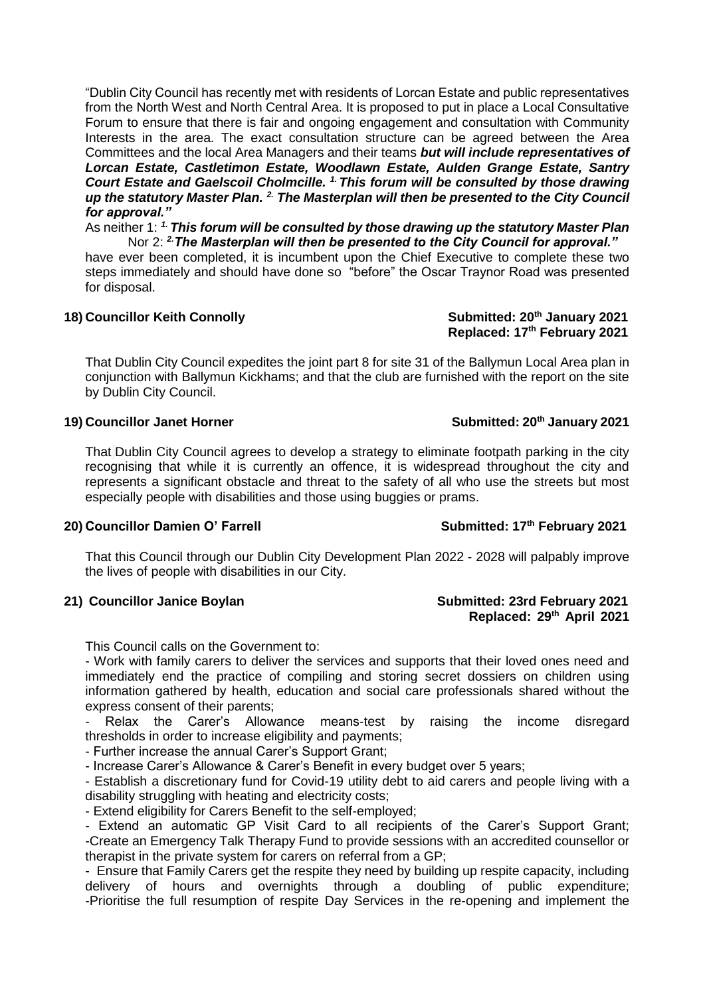"Dublin City Council has recently met with residents of Lorcan Estate and public representatives from the North West and North Central Area. It is proposed to put in place a Local Consultative Forum to ensure that there is fair and ongoing engagement and consultation with Community Interests in the area. The exact consultation structure can be agreed between the Area Committees and the local Area Managers and their teams *but will include representatives of Lorcan Estate, Castletimon Estate, Woodlawn Estate, Aulden Grange Estate, Santry Court Estate and Gaelscoil Cholmcille. 1. This forum will be consulted by those drawing up the statutory Master Plan. 2. The Masterplan will then be presented to the City Council for approval."*

As neither 1: *1. This forum will be consulted by those drawing up the statutory Master Plan* Nor 2: *2.The Masterplan will then be presented to the City Council for approval."*

have ever been completed, it is incumbent upon the Chief Executive to complete these two steps immediately and should have done so "before" the Oscar Traynor Road was presented for disposal.

#### 18) Councillor Keith Connolly **Submitted: 20<sup>th</sup> January 2021**

That Dublin City Council expedites the joint part 8 for site 31 of the Ballymun Local Area plan in conjunction with Ballymun Kickhams; and that the club are furnished with the report on the site by Dublin City Council.

### 19) Councillor Janet Horner Submitted: 20<sup>th</sup> January 2021

That Dublin City Council agrees to develop a strategy to eliminate footpath parking in the city recognising that while it is currently an offence, it is widespread throughout the city and represents a significant obstacle and threat to the safety of all who use the streets but most especially people with disabilities and those using buggies or prams.

#### **20)** Councillor Damien O' Farrell Submitted: 17<sup>th</sup> February 2021

That this Council through our Dublin City Development Plan 2022 - 2028 will palpably improve the lives of people with disabilities in our City.

This Council calls on the Government to:

- Work with family carers to deliver the services and supports that their loved ones need and immediately end the practice of compiling and storing secret dossiers on children using information gathered by health, education and social care professionals shared without the express consent of their parents;

Relax the Carer's Allowance means-test by raising the income disregard thresholds in order to increase eligibility and payments;

- Further increase the annual Carer's Support Grant;

- Increase Carer's Allowance & Carer's Benefit in every budget over 5 years;

- Establish a discretionary fund for Covid-19 utility debt to aid carers and people living with a disability struggling with heating and electricity costs;

- Extend eligibility for Carers Benefit to the self-employed;

- Extend an automatic GP Visit Card to all recipients of the Carer's Support Grant; -Create an Emergency Talk Therapy Fund to provide sessions with an accredited counsellor or therapist in the private system for carers on referral from a GP;

- Ensure that Family Carers get the respite they need by building up respite capacity, including delivery of hours and overnights through a doubling of public expenditure; -Prioritise the full resumption of respite Day Services in the re-opening and implement the

#### **21) Councillor Janice Boylan Submitted: 23rd February 2021 Replaced: 29th April 2021**

 **Replaced: 17th February 2021**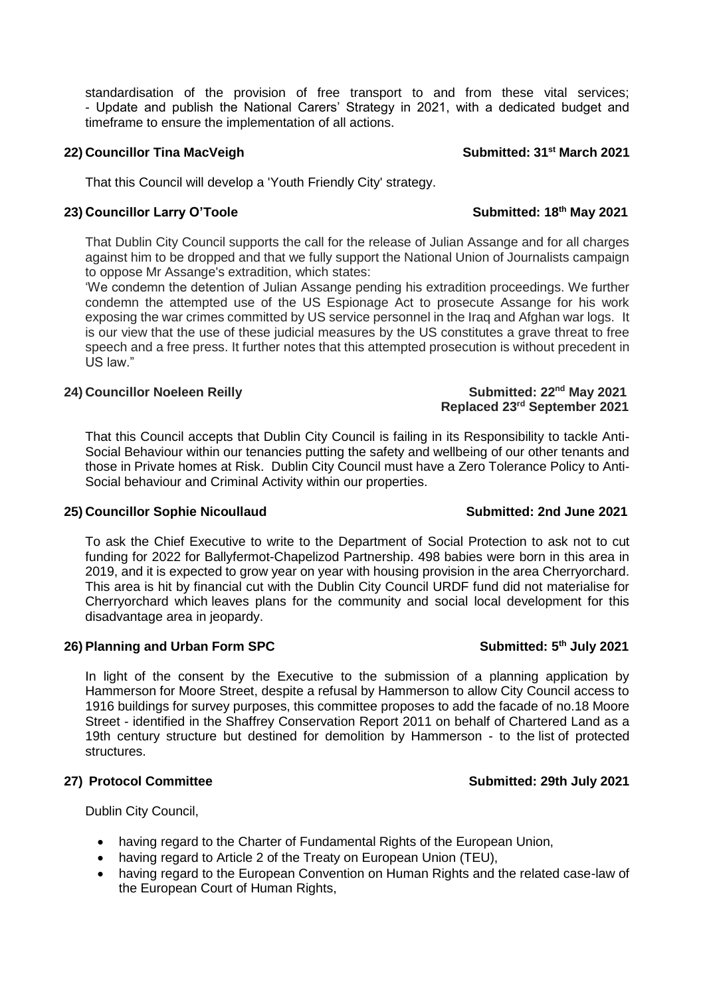standardisation of the provision of free transport to and from these vital services; - Update and publish the National Carers' Strategy in 2021, with a dedicated budget and timeframe to ensure the implementation of all actions.

### **22)** Councillor Tina MacVeigh Submitted: 31<sup>st</sup> March 2021

That this Council will develop a 'Youth Friendly City' strategy.

### **23)** Councillor Larry O'Toole Submitted: 18<sup>th</sup> May 2021

That Dublin City Council supports the call for the release of Julian Assange and for all charges against him to be dropped and that we fully support the National Union of Journalists campaign to oppose Mr Assange's extradition, which states:

'We condemn the detention of Julian Assange pending his extradition proceedings. We further condemn the attempted use of the US Espionage Act to prosecute Assange for his work exposing the war crimes committed by US service personnel in the Iraq and Afghan war logs. It is our view that the use of these judicial measures by the US constitutes a grave threat to free speech and a free press. It further notes that this attempted prosecution is without precedent in US law."

### **24)** Councillor Noeleen Reilly **Submitted: 22<sup>nd</sup> May 2021**

#### That this Council accepts that Dublin City Council is failing in its Responsibility to tackle Anti-Social Behaviour within our tenancies putting the safety and wellbeing of our other tenants and those in Private homes at Risk. Dublin City Council must have a Zero Tolerance Policy to Anti-Social behaviour and Criminal Activity within our properties.

### **25)** Councillor Sophie Nicoullaud Submitted: 2nd June 2021

To ask the Chief Executive to write to the Department of Social Protection to ask not to cut funding for 2022 for Ballyfermot-Chapelizod Partnership. 498 babies were born in this area in 2019, and it is expected to grow year on year with housing provision in the area Cherryorchard. This area is hit by financial cut with the Dublin City Council URDF fund did not materialise for Cherryorchard which leaves plans for the community and social local development for this disadvantage area in jeopardy.

### **26)** Planning and Urban Form SPC Submitted: 5<sup>th</sup> July 2021

In light of the consent by the Executive to the submission of a planning application by Hammerson for Moore Street, despite a refusal by Hammerson to allow City Council access to 1916 buildings for survey purposes, this committee proposes to add the facade of no.18 Moore Street - identified in the Shaffrey Conservation Report 2011 on behalf of Chartered Land as a 19th century structure but destined for demolition by Hammerson - to the list of protected structures.

### **27) Protocol Committee Submitted: 29th July 2021**

Dublin City Council,

### having regard to the Charter of Fundamental Rights of the European Union,

- having regard to Article 2 of the Treaty on European Union (TEU),
- having regard to the European Convention on Human Rights and the related case-law of the European Court of Human Rights,

 **Replaced 23rd September 2021**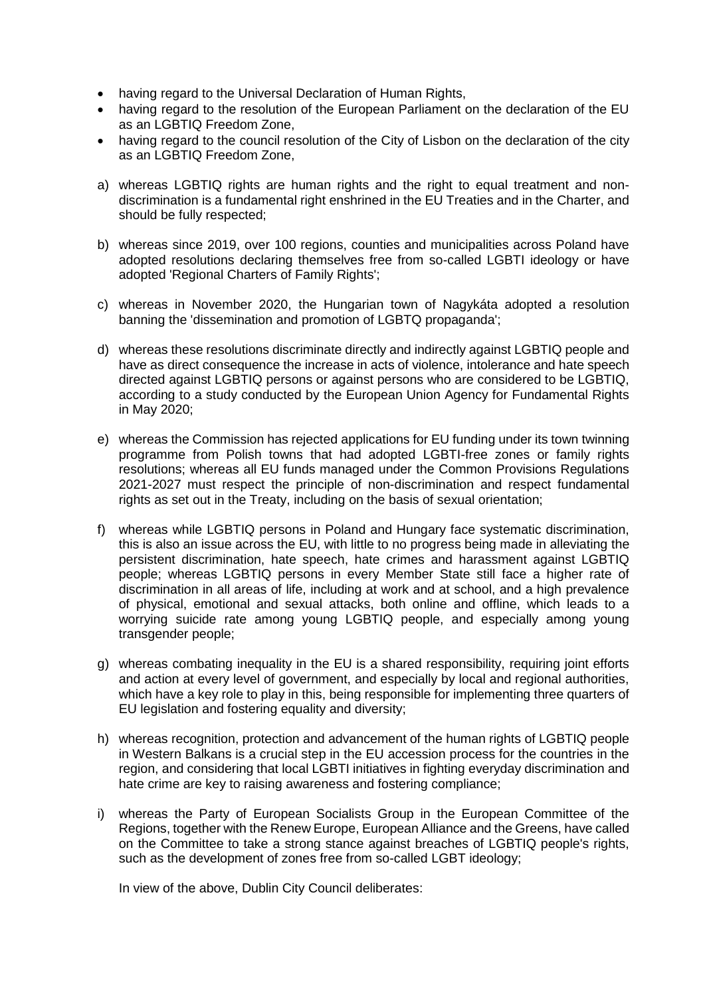- having regard to the Universal Declaration of Human Rights,
- having regard to the resolution of the European Parliament on the declaration of the EU as an LGBTIQ Freedom Zone,
- having regard to the council resolution of the City of Lisbon on the declaration of the city as an LGBTIQ Freedom Zone,
- a) whereas LGBTIQ rights are human rights and the right to equal treatment and nondiscrimination is a fundamental right enshrined in the EU Treaties and in the Charter, and should be fully respected;
- b) whereas since 2019, over 100 regions, counties and municipalities across Poland have adopted resolutions declaring themselves free from so-called LGBTI ideology or have adopted 'Regional Charters of Family Rights';
- c) whereas in November 2020, the Hungarian town of Nagykáta adopted a resolution banning the 'dissemination and promotion of LGBTQ propaganda';
- d) whereas these resolutions discriminate directly and indirectly against LGBTIQ people and have as direct consequence the increase in acts of violence, intolerance and hate speech directed against LGBTIQ persons or against persons who are considered to be LGBTIQ, according to a study conducted by the European Union Agency for Fundamental Rights in May 2020;
- e) whereas the Commission has rejected applications for EU funding under its town twinning programme from Polish towns that had adopted LGBTI-free zones or family rights resolutions; whereas all EU funds managed under the Common Provisions Regulations 2021-2027 must respect the principle of non-discrimination and respect fundamental rights as set out in the Treaty, including on the basis of sexual orientation;
- f) whereas while LGBTIQ persons in Poland and Hungary face systematic discrimination, this is also an issue across the EU, with little to no progress being made in alleviating the persistent discrimination, hate speech, hate crimes and harassment against LGBTIQ people; whereas LGBTIQ persons in every Member State still face a higher rate of discrimination in all areas of life, including at work and at school, and a high prevalence of physical, emotional and sexual attacks, both online and offline, which leads to a worrying suicide rate among young LGBTIQ people, and especially among young transgender people;
- g) whereas combating inequality in the EU is a shared responsibility, requiring joint efforts and action at every level of government, and especially by local and regional authorities, which have a key role to play in this, being responsible for implementing three quarters of EU legislation and fostering equality and diversity;
- h) whereas recognition, protection and advancement of the human rights of LGBTIQ people in Western Balkans is a crucial step in the EU accession process for the countries in the region, and considering that local LGBTI initiatives in fighting everyday discrimination and hate crime are key to raising awareness and fostering compliance;
- i) whereas the Party of European Socialists Group in the European Committee of the Regions, together with the Renew Europe, European Alliance and the Greens, have called on the Committee to take a strong stance against breaches of LGBTIQ people's rights, such as the development of zones free from so-called LGBT ideology;

In view of the above, Dublin City Council deliberates: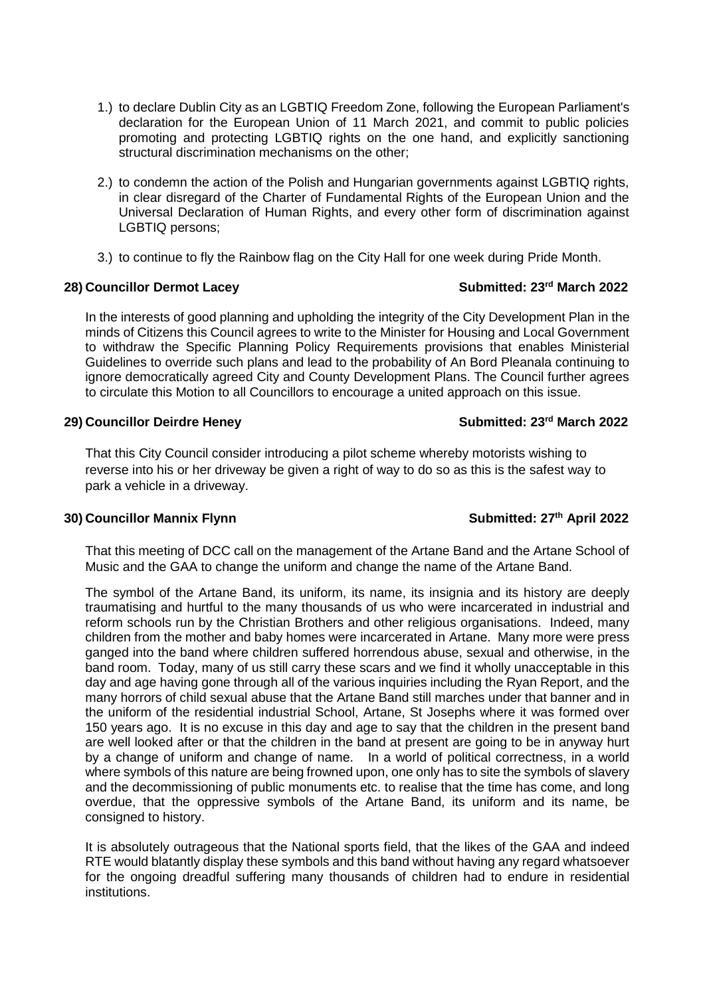- 1.) to declare Dublin City as an LGBTIQ Freedom Zone, following the European Parliament's declaration for the European Union of 11 March 2021, and commit to public policies promoting and protecting LGBTIQ rights on the one hand, and explicitly sanctioning structural discrimination mechanisms on the other;
- 2.) to condemn the action of the Polish and Hungarian governments against LGBTIQ rights, in clear disregard of the Charter of Fundamental Rights of the European Union and the Universal Declaration of Human Rights, and every other form of discrimination against LGBTIQ persons;
- 3.) to continue to fly the Rainbow flag on the City Hall for one week during Pride Month.

### **28)** Councillor Dermot Lacey Submitted: 23<sup>rd</sup> March 2022

In the interests of good planning and upholding the integrity of the City Development Plan in the minds of Citizens this Council agrees to write to the Minister for Housing and Local Government to withdraw the Specific Planning Policy Requirements provisions that enables Ministerial Guidelines to override such plans and lead to the probability of An Bord Pleanala continuing to ignore democratically agreed City and County Development Plans. The Council further agrees to circulate this Motion to all Councillors to encourage a united approach on this issue.

### **29)** Councillor Deirdre Heney Submitted: 23<sup>rd</sup> March 2022

That this City Council consider introducing a pilot scheme whereby motorists wishing to reverse into his or her driveway be given a right of way to do so as this is the safest way to park a vehicle in a driveway.

### **30)** Councillor Mannix Flynn **Submitted: 27<sup>th</sup>** April 2022

That this meeting of DCC call on the management of the Artane Band and the Artane School of Music and the GAA to change the uniform and change the name of the Artane Band.

The symbol of the Artane Band, its uniform, its name, its insignia and its history are deeply traumatising and hurtful to the many thousands of us who were incarcerated in industrial and reform schools run by the Christian Brothers and other religious organisations. Indeed, many children from the mother and baby homes were incarcerated in Artane. Many more were press ganged into the band where children suffered horrendous abuse, sexual and otherwise, in the band room. Today, many of us still carry these scars and we find it wholly unacceptable in this day and age having gone through all of the various inquiries including the Ryan Report, and the many horrors of child sexual abuse that the Artane Band still marches under that banner and in the uniform of the residential industrial School, Artane, St Josephs where it was formed over 150 years ago. It is no excuse in this day and age to say that the children in the present band are well looked after or that the children in the band at present are going to be in anyway hurt by a change of uniform and change of name. In a world of political correctness, in a world where symbols of this nature are being frowned upon, one only has to site the symbols of slavery and the decommissioning of public monuments etc. to realise that the time has come, and long overdue, that the oppressive symbols of the Artane Band, its uniform and its name, be consigned to history.

It is absolutely outrageous that the National sports field, that the likes of the GAA and indeed RTE would blatantly display these symbols and this band without having any regard whatsoever for the ongoing dreadful suffering many thousands of children had to endure in residential institutions.